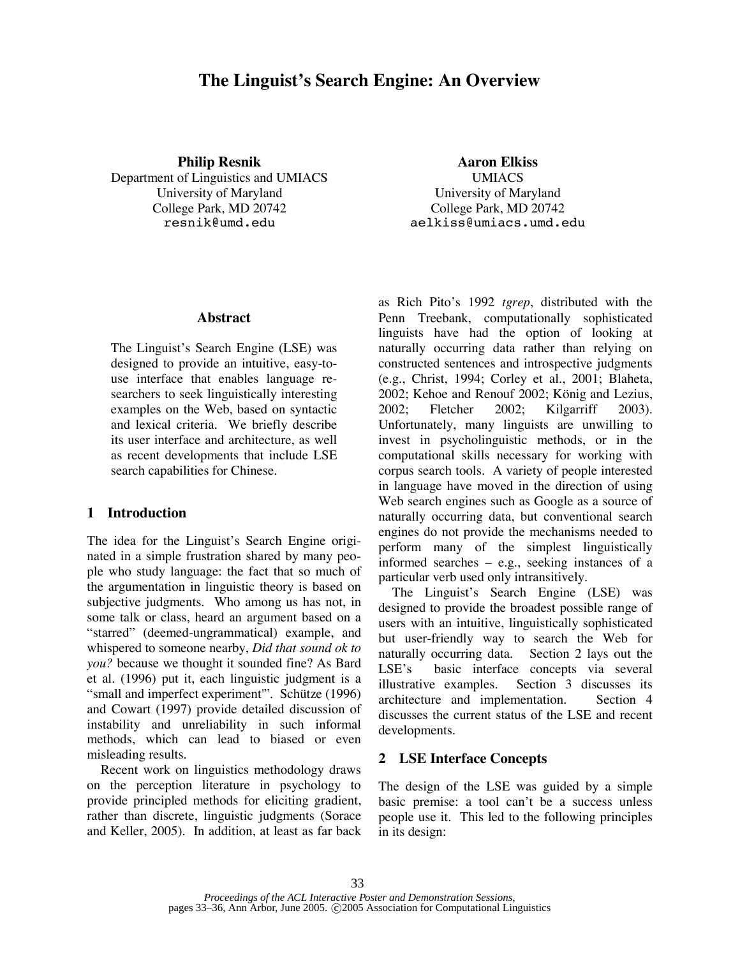# **The Linguist's Search Engine: An Overview**

**Philip Resnik Aaron Elkiss**

Department of Linguistics and UMIACS UMIACS University of Maryland University of Maryland College Park, MD 20742 College Park, MD 20742

resnik@umd.edu aelkiss@umiacs.umd.edu

## **Abstract**

The Linguist's Search Engine (LSE) was designed to provide an intuitive, easy-touse interface that enables language researchers to seek linguistically interesting examples on the Web, based on syntactic and lexical criteria. We briefly describe its user interface and architecture, as well as recent developments that include LSE search capabilities for Chinese.

## **1 Introduction**

The idea for the Linguist's Search Engine originated in a simple frustration shared by many people who study language: the fact that so much of the argumentation in linguistic theory is based on subjective judgments. Who among us has not, in some talk or class, heard an argument based on a "starred" (deemed-ungrammatical) example, and whispered to someone nearby, *Did that sound ok to you?* because we thought it sounded fine? As Bard et al. (1996) put it, each linguistic judgment is a "small and imperfect experiment'". Schütze (1996) and Cowart (1997) provide detailed discussion of instability and unreliability in such informal methods, which can lead to biased or even misleading results.

Recent work on linguistics methodology draws on the perception literature in psychology to provide principled methods for eliciting gradient, rather than discrete, linguistic judgments (Sorace and Keller, 2005). In addition, at least as far back as Rich Pito's 1992 *tgrep*, distributed with the Penn Treebank, computationally sophisticated linguists have had the option of looking at naturally occurring data rather than relying on constructed sentences and introspective judgments (e.g., Christ, 1994; Corley et al., 2001; Blaheta, 2002; Kehoe and Renouf 2002; König and Lezius, 2002; Fletcher 2002; Kilgarriff 2003). Unfortunately, many linguists are unwilling to invest in psycholinguistic methods, or in the computational skills necessary for working with corpus search tools. A variety of people interested in language have moved in the direction of using Web search engines such as Google as a source of naturally occurring data, but conventional search engines do not provide the mechanisms needed to perform many of the simplest linguistically informed searches – e.g., seeking instances of a particular verb used only intransitively.

The Linguist's Search Engine (LSE) was designed to provide the broadest possible range of users with an intuitive, linguistically sophisticated but user-friendly way to search the Web for naturally occurring data. Section 2 lays out the LSE's basic interface concepts via several illustrative examples. Section 3 discusses its architecture and implementation. Section 4 discusses the current status of the LSE and recent developments.

# **2 LSE Interface Concepts**

The design of the LSE was guided by a simple basic premise: a tool can't be a success unless people use it. This led to the following principles in its design: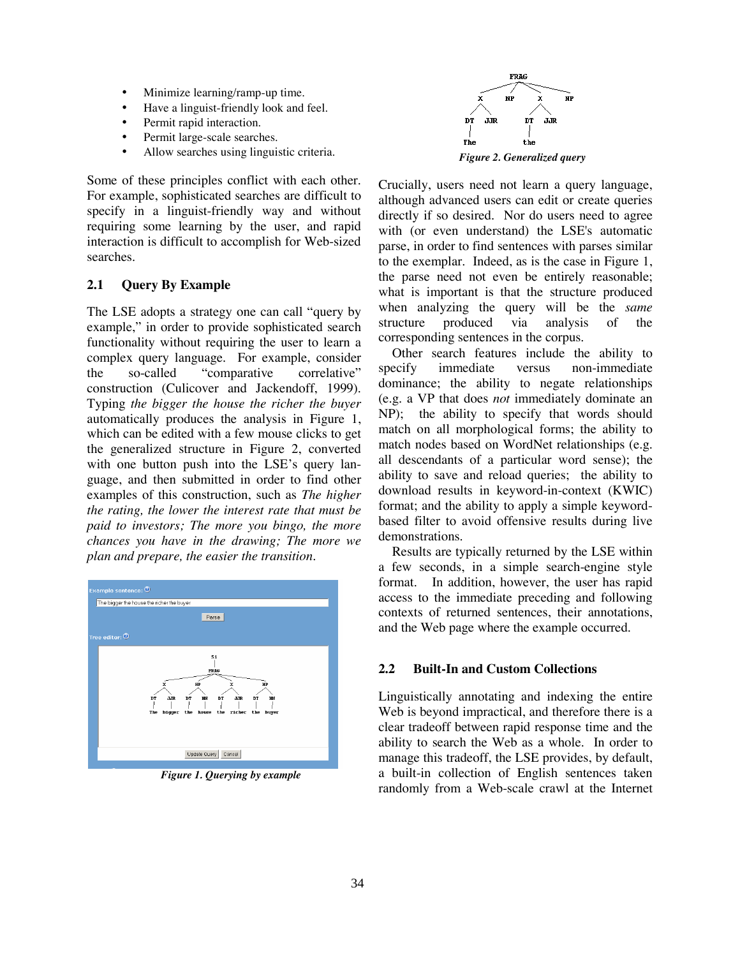- Minimize learning/ramp-up time.
- Have a linguist-friendly look and feel.
- Permit rapid interaction.
- Permit large-scale searches.
- Allow searches using linguistic criteria.

Some of these principles conflict with each other. For example, sophisticated searches are difficult to specify in a linguist-friendly way and without requiring some learning by the user, and rapid interaction is difficult to accomplish for Web-sized searches.

### **2.1 Query By Example**

The LSE adopts a strategy one can call "query by example," in order to provide sophisticated search functionality without requiring the user to learn a complex query language. For example, consider the so-called "comparative correlative" construction (Culicover and Jackendoff, 1999). Typing *the bigger the house the richer the buyer* automatically produces the analysis in Figure 1, which can be edited with a few mouse clicks to get the generalized structure in Figure 2, converted with one button push into the LSE's query language, and then submitted in order to find other examples of this construction, such as *The higher the rating, the lower the interest rate that must be paid to investors; The more you bingo, the more chances you have in the drawing; The more we plan and prepare, the easier the transition*.



*Figure 1. Querying by example*



Crucially, users need not learn a query language, although advanced users can edit or create queries directly if so desired. Nor do users need to agree with (or even understand) the LSE's automatic parse, in order to find sentences with parses similar to the exemplar. Indeed, as is the case in Figure 1, the parse need not even be entirely reasonable; what is important is that the structure produced when analyzing the query will be the *same* structure produced via analysis of the corresponding sentences in the corpus.

Other search features include the ability to specify immediate versus non-immediate dominance; the ability to negate relationships (e.g. a VP that does *not* immediately dominate an NP); the ability to specify that words should match on all morphological forms; the ability to match nodes based on WordNet relationships (e.g. all descendants of a particular word sense); the ability to save and reload queries; the ability to download results in keyword-in-context (KWIC) format; and the ability to apply a simple keywordbased filter to avoid offensive results during live demonstrations.

Results are typically returned by the LSE within a few seconds, in a simple search-engine style format. In addition, however, the user has rapid access to the immediate preceding and following contexts of returned sentences, their annotations, and the Web page where the example occurred.

#### **2.2 Built-In and Custom Collections**

Linguistically annotating and indexing the entire Web is beyond impractical, and therefore there is a clear tradeoff between rapid response time and the ability to search the Web as a whole. In order to manage this tradeoff, the LSE provides, by default, a built-in collection of English sentences taken randomly from a Web-scale crawl at the Internet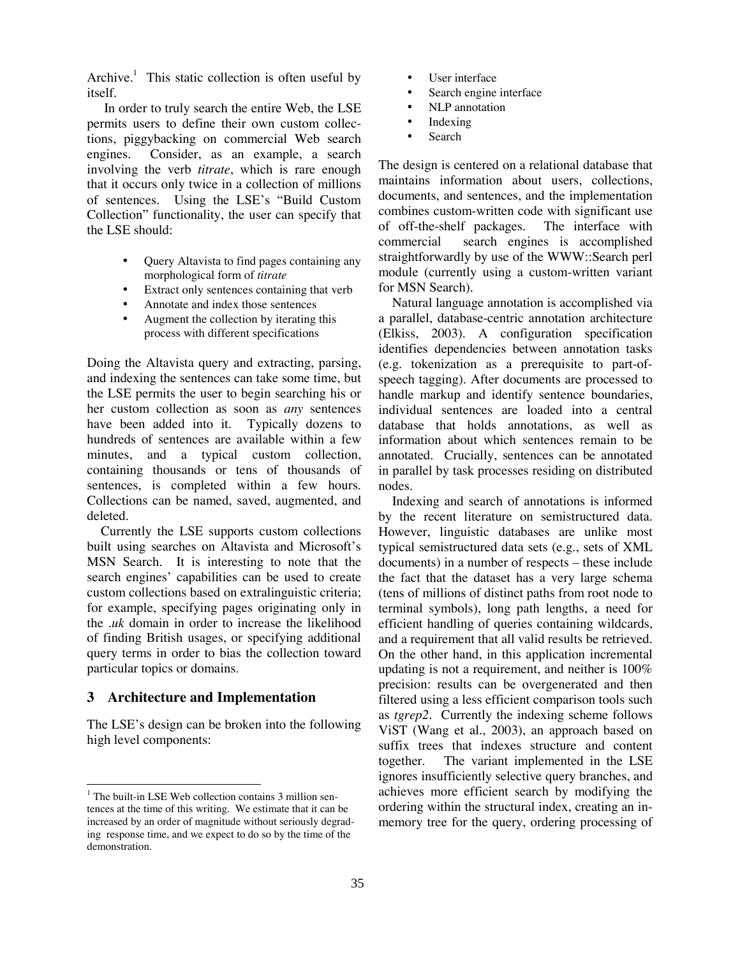Archive.<sup>1</sup> This static collection is often useful by itself.

In order to truly search the entire Web, the LSE permits users to define their own custom collections, piggybacking on commercial Web search engines. Consider, as an example, a search involving the verb *titrate*, which is rare enough that it occurs only twice in a collection of millions of sentences. Using the LSE's "Build Custom Collection" functionality, the user can specify that the LSE should:

- Query Altavista to find pages containing any morphological form of *titrate*
- Extract only sentences containing that verb
- Annotate and index those sentences
- Augment the collection by iterating this process with different specifications

Doing the Altavista query and extracting, parsing, and indexing the sentences can take some time, but the LSE permits the user to begin searching his or her custom collection as soon as *any* sentences have been added into it. Typically dozens to hundreds of sentences are available within a few minutes, and a typical custom collection, containing thousands or tens of thousands of sentences, is completed within a few hours. Collections can be named, saved, augmented, and deleted.

Currently the LSE supports custom collections built using searches on Altavista and Microsoft's MSN Search. It is interesting to note that the search engines' capabilities can be used to create custom collections based on extralinguistic criteria; for example, specifying pages originating only in the *.uk* domain in order to increase the likelihood of finding British usages, or specifying additional query terms in order to bias the collection toward particular topics or domains.

## **3 Architecture and Implementation**

The LSE's design can be broken into the following high level components:

- User interface
- Search engine interface
- NLP annotation
- Indexing
- Search

The design is centered on a relational database that maintains information about users, collections, documents, and sentences, and the implementation combines custom-written code with significant use of off-the-shelf packages. The interface with commercial search engines is accomplished straightforwardly by use of the WWW::Search perl module (currently using a custom-written variant for MSN Search).

Natural language annotation is accomplished via a parallel, database-centric annotation architecture (Elkiss, 2003). A configuration specification identifies dependencies between annotation tasks (e.g. tokenization as a prerequisite to part-ofspeech tagging). After documents are processed to handle markup and identify sentence boundaries, individual sentences are loaded into a central database that holds annotations, as well as information about which sentences remain to be annotated. Crucially, sentences can be annotated in parallel by task processes residing on distributed nodes.

Indexing and search of annotations is informed by the recent literature on semistructured data. However, linguistic databases are unlike most typical semistructured data sets (e.g., sets of XML documents) in a number of respects – these include the fact that the dataset has a very large schema (tens of millions of distinct paths from root node to terminal symbols), long path lengths, a need for efficient handling of queries containing wildcards, and a requirement that all valid results be retrieved. On the other hand, in this application incremental updating is not a requirement, and neither is 100% precision: results can be overgenerated and then filtered using a less efficient comparison tools such as *tgrep2*. Currently the indexing scheme follows ViST (Wang et al., 2003), an approach based on suffix trees that indexes structure and content together. The variant implemented in the LSE ignores insufficiently selective query branches, and achieves more efficient search by modifying the ordering within the structural index, creating an inmemory tree for the query, ordering processing of

 $1$  The built-in LSE Web collection contains 3 million sentences at the time of this writing. We estimate that it can be increased by an order of magnitude without seriously degrading response time, and we expect to do so by the time of the demonstration.